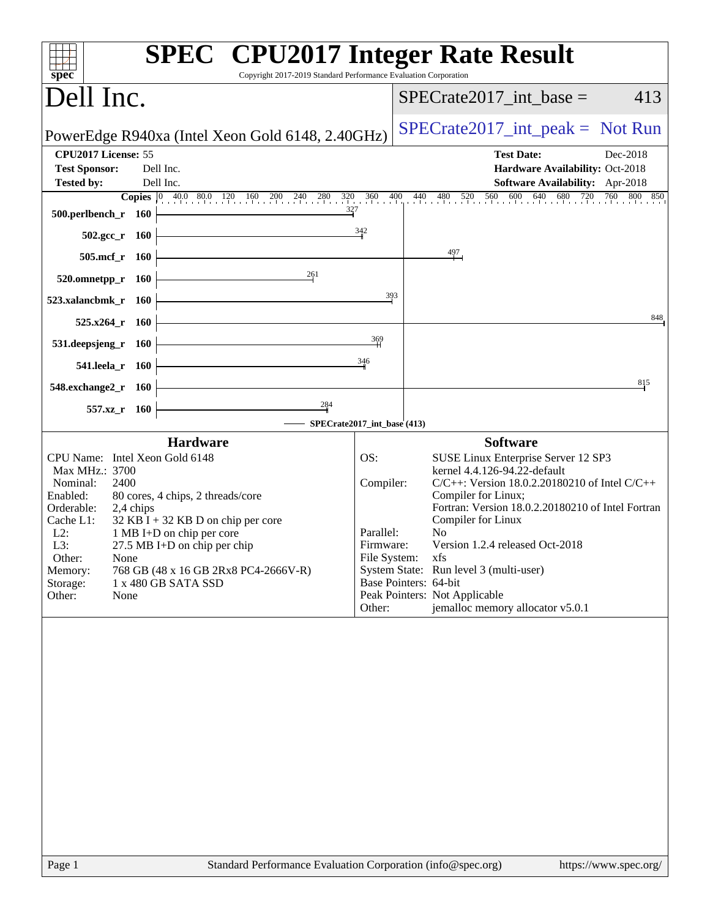| Copyright 2017-2019 Standard Performance Evaluation Corporation<br>spec <sup>®</sup>                                                                                                                                                                                                                                                                                                                                           |                                                                                                                                                                                                                                                                                                                                                                                                                                                                                     |
|--------------------------------------------------------------------------------------------------------------------------------------------------------------------------------------------------------------------------------------------------------------------------------------------------------------------------------------------------------------------------------------------------------------------------------|-------------------------------------------------------------------------------------------------------------------------------------------------------------------------------------------------------------------------------------------------------------------------------------------------------------------------------------------------------------------------------------------------------------------------------------------------------------------------------------|
| Dell Inc.                                                                                                                                                                                                                                                                                                                                                                                                                      | $SPECrate2017\_int\_base =$<br>413                                                                                                                                                                                                                                                                                                                                                                                                                                                  |
| PowerEdge R940xa (Intel Xeon Gold 6148, 2.40GHz)                                                                                                                                                                                                                                                                                                                                                                               | $SPECrate2017\_int\_peak = Not Run$                                                                                                                                                                                                                                                                                                                                                                                                                                                 |
| CPU2017 License: 55<br>Dell Inc.<br><b>Test Sponsor:</b>                                                                                                                                                                                                                                                                                                                                                                       | <b>Test Date:</b><br>Dec-2018<br>Hardware Availability: Oct-2018                                                                                                                                                                                                                                                                                                                                                                                                                    |
| Dell Inc.<br><b>Tested by:</b>                                                                                                                                                                                                                                                                                                                                                                                                 | Software Availability: Apr-2018                                                                                                                                                                                                                                                                                                                                                                                                                                                     |
| 327<br>500.perlbench_r 160                                                                                                                                                                                                                                                                                                                                                                                                     | <b>Copies</b> $\begin{bmatrix} 0 & 40.0 & 80.0 & 120 & 160 & 200 & 240 & 280 & 320 & 360 & 400 & 440 & 480 & 520 & 560 & 600 & 640 & 680 & 720 & 760 & 800 & 850 \end{bmatrix}$                                                                                                                                                                                                                                                                                                     |
| 342<br>$502.\text{gcc}_r$ 160                                                                                                                                                                                                                                                                                                                                                                                                  |                                                                                                                                                                                                                                                                                                                                                                                                                                                                                     |
| 505.mcf_r<br><b>160</b>                                                                                                                                                                                                                                                                                                                                                                                                        | $\frac{497}{1}$                                                                                                                                                                                                                                                                                                                                                                                                                                                                     |
| 261<br>520.omnetpp_r 160                                                                                                                                                                                                                                                                                                                                                                                                       |                                                                                                                                                                                                                                                                                                                                                                                                                                                                                     |
| 523.xalancbmk_r 160                                                                                                                                                                                                                                                                                                                                                                                                            | 393                                                                                                                                                                                                                                                                                                                                                                                                                                                                                 |
| $525.x264_r$ 160                                                                                                                                                                                                                                                                                                                                                                                                               | 848                                                                                                                                                                                                                                                                                                                                                                                                                                                                                 |
| 531.deepsjeng_r<br>- 160                                                                                                                                                                                                                                                                                                                                                                                                       | 369                                                                                                                                                                                                                                                                                                                                                                                                                                                                                 |
| 346<br>541.leela_r 160                                                                                                                                                                                                                                                                                                                                                                                                         |                                                                                                                                                                                                                                                                                                                                                                                                                                                                                     |
| 548.exchange2_r 160                                                                                                                                                                                                                                                                                                                                                                                                            | 815                                                                                                                                                                                                                                                                                                                                                                                                                                                                                 |
| 284<br>557.xz_r 160<br>SPECrate2017_int_base (413)                                                                                                                                                                                                                                                                                                                                                                             |                                                                                                                                                                                                                                                                                                                                                                                                                                                                                     |
| <b>Hardware</b>                                                                                                                                                                                                                                                                                                                                                                                                                | <b>Software</b>                                                                                                                                                                                                                                                                                                                                                                                                                                                                     |
| CPU Name: Intel Xeon Gold 6148<br>OS:<br>Max MHz.: 3700<br>Nominal:<br>2400<br>80 cores, 4 chips, 2 threads/core<br>Enabled:<br>Orderable:<br>2,4 chips<br>$32$ KB I + 32 KB D on chip per core<br>Cache L1:<br>$L2$ :<br>1 MB I+D on chip per core<br>L3:<br>27.5 MB I+D on chip per chip<br>Other:<br>None<br>768 GB (48 x 16 GB 2Rx8 PC4-2666V-R)<br>Memory:<br>1 x 480 GB SATA SSD<br>Storage:<br>Other:<br>None<br>Other: | SUSE Linux Enterprise Server 12 SP3<br>kernel 4.4.126-94.22-default<br>Compiler:<br>$C/C++$ : Version 18.0.2.20180210 of Intel $C/C++$<br>Compiler for Linux;<br>Fortran: Version 18.0.2.20180210 of Intel Fortran<br>Compiler for Linux<br>Parallel:<br>N <sub>0</sub><br>Version 1.2.4 released Oct-2018<br>Firmware:<br>File System: xfs<br>System State: Run level 3 (multi-user)<br>Base Pointers: 64-bit<br>Peak Pointers: Not Applicable<br>jemalloc memory allocator v5.0.1 |
| Standard Performance Evaluation Corporation (info@spec.org)<br>Page 1                                                                                                                                                                                                                                                                                                                                                          | https://www.spec.org/                                                                                                                                                                                                                                                                                                                                                                                                                                                               |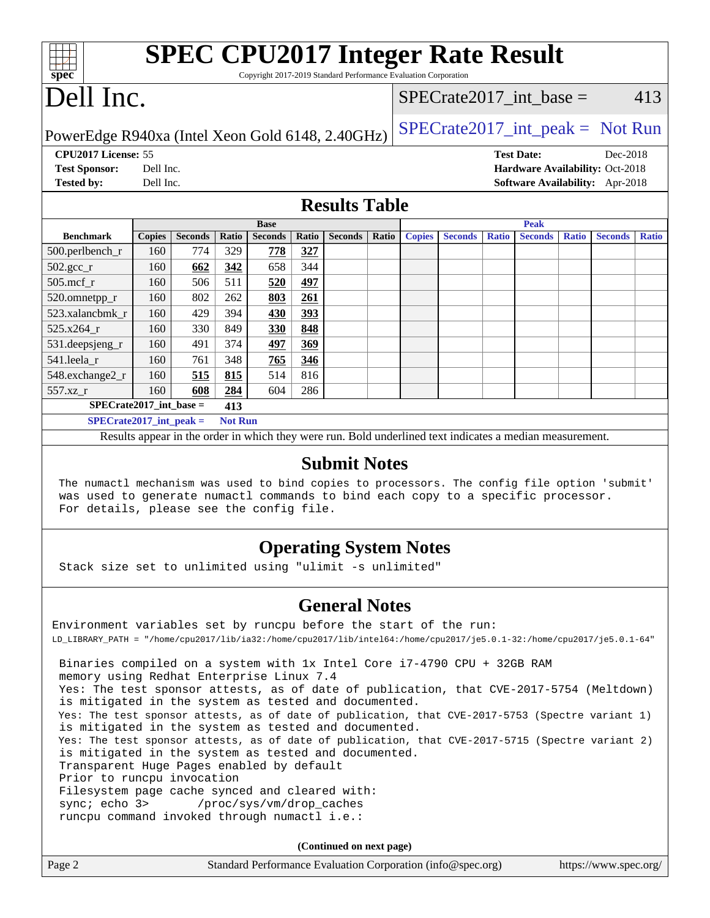| <b>SPEC CPU2017 Integer Rate Result</b>                                     |                                                   |
|-----------------------------------------------------------------------------|---------------------------------------------------|
| $spec^*$<br>Copyright 2017-2019 Standard Performance Evaluation Corporation |                                                   |
| Dell Inc.                                                                   | SPECrate2017 int base $=$<br>413                  |
| PowerEdge R940xa (Intel Xeon Gold 6148, 2.40GHz)                            | $\text{SPECrate2017\_int\_peak} = \text{Not Run}$ |
| <b>CPU2017 License: 55</b>                                                  | <b>Test Date:</b><br>Dec-2018                     |
| <b>Test Sponsor:</b><br>Dell Inc.                                           | <b>Hardware Availability: Oct-2018</b>            |

**[Tested by:](http://www.spec.org/auto/cpu2017/Docs/result-fields.html#Testedby)** Dell Inc. **[Software Availability:](http://www.spec.org/auto/cpu2017/Docs/result-fields.html#SoftwareAvailability)** Apr-2018

#### **[Results Table](http://www.spec.org/auto/cpu2017/Docs/result-fields.html#ResultsTable)**

|                           | <b>Base</b>   |                |                |                |            |                |       |               | <b>Peak</b>    |              |                |              |                |              |
|---------------------------|---------------|----------------|----------------|----------------|------------|----------------|-------|---------------|----------------|--------------|----------------|--------------|----------------|--------------|
| <b>Benchmark</b>          | <b>Copies</b> | <b>Seconds</b> | Ratio          | <b>Seconds</b> | Ratio      | <b>Seconds</b> | Ratio | <b>Copies</b> | <b>Seconds</b> | <b>Ratio</b> | <b>Seconds</b> | <b>Ratio</b> | <b>Seconds</b> | <b>Ratio</b> |
| 500.perlbench_r           | 160           | 774            | 329            | 778            | 327        |                |       |               |                |              |                |              |                |              |
| $502.\text{gcc}_r$        | 160           | 662            | 342            | 658            | 344        |                |       |               |                |              |                |              |                |              |
| $505$ .mcf r              | 160           | 506            | 511            | 520            | <u>497</u> |                |       |               |                |              |                |              |                |              |
| 520.omnetpp_r             | 160           | 802            | 262            | 803            | 261        |                |       |               |                |              |                |              |                |              |
| 523.xalancbmk r           | 160           | 429            | 394            | 430            | <u>393</u> |                |       |               |                |              |                |              |                |              |
| 525.x264 r                | 160           | 330            | 849            | 330            | 848        |                |       |               |                |              |                |              |                |              |
| 531.deepsjeng_r           | 160           | 491            | 374            | 497            | 369        |                |       |               |                |              |                |              |                |              |
| 541.leela r               | 160           | 761            | 348            | 765            | 346        |                |       |               |                |              |                |              |                |              |
| 548.exchange2_r           | 160           | 515            | 815            | 514            | 816        |                |       |               |                |              |                |              |                |              |
| 557.xz r                  | 160           | 608            | 284            | 604            | 286        |                |       |               |                |              |                |              |                |              |
| $SPECrate2017$ int base = |               |                | 413            |                |            |                |       |               |                |              |                |              |                |              |
| $SPECrate2017$ int peak = |               |                | <b>Not Run</b> |                |            |                |       |               |                |              |                |              |                |              |

Results appear in the [order in which they were run](http://www.spec.org/auto/cpu2017/Docs/result-fields.html#RunOrder). Bold underlined text [indicates a median measurement](http://www.spec.org/auto/cpu2017/Docs/result-fields.html#Median).

#### **[Submit Notes](http://www.spec.org/auto/cpu2017/Docs/result-fields.html#SubmitNotes)**

 The numactl mechanism was used to bind copies to processors. The config file option 'submit' was used to generate numactl commands to bind each copy to a specific processor. For details, please see the config file.

### **[Operating System Notes](http://www.spec.org/auto/cpu2017/Docs/result-fields.html#OperatingSystemNotes)**

Stack size set to unlimited using "ulimit -s unlimited"

#### **[General Notes](http://www.spec.org/auto/cpu2017/Docs/result-fields.html#GeneralNotes)**

Environment variables set by runcpu before the start of the run: LD\_LIBRARY\_PATH = "/home/cpu2017/lib/ia32:/home/cpu2017/lib/intel64:/home/cpu2017/je5.0.1-32:/home/cpu2017/je5.0.1-64" Binaries compiled on a system with 1x Intel Core i7-4790 CPU + 32GB RAM memory using Redhat Enterprise Linux 7.4 Yes: The test sponsor attests, as of date of publication, that CVE-2017-5754 (Meltdown) is mitigated in the system as tested and documented. Yes: The test sponsor attests, as of date of publication, that CVE-2017-5753 (Spectre variant 1) is mitigated in the system as tested and documented. Yes: The test sponsor attests, as of date of publication, that CVE-2017-5715 (Spectre variant 2) is mitigated in the system as tested and documented. Transparent Huge Pages enabled by default Prior to runcpu invocation Filesystem page cache synced and cleared with: sync; echo 3> /proc/sys/vm/drop\_caches runcpu command invoked through numactl i.e.:

**(Continued on next page)**

| Page 2 | Standard Performance Evaluation Corporation (info@spec.org) | https://www.spec.org/ |
|--------|-------------------------------------------------------------|-----------------------|
|--------|-------------------------------------------------------------|-----------------------|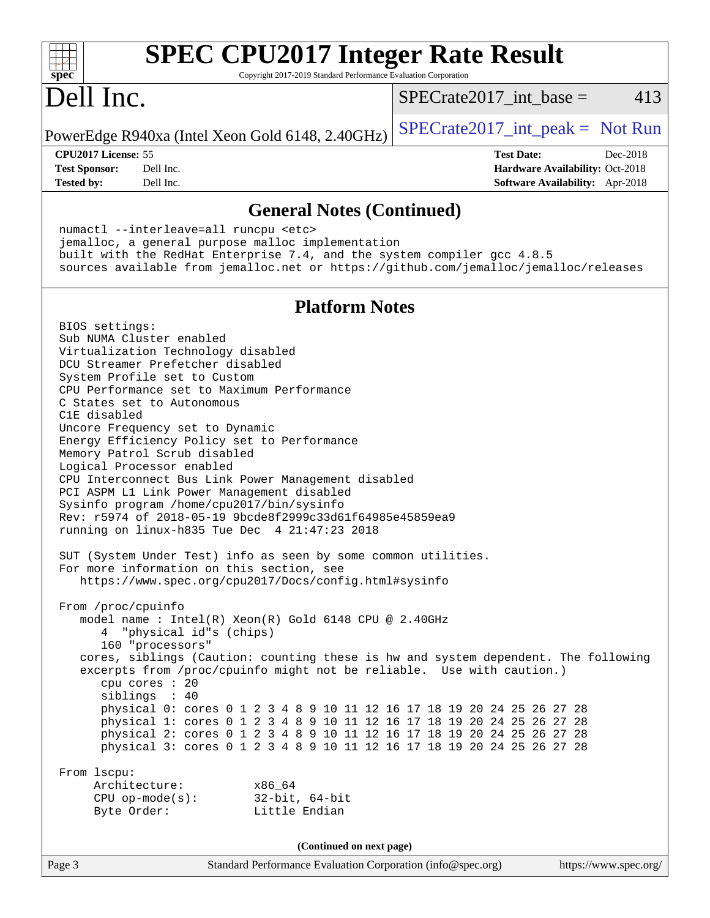| <b>SPEC CPU2017 Integer Rate Result</b><br>Copyright 2017-2019 Standard Performance Evaluation Corporation<br>spec <sup>®</sup>                                                                                                                                                                                                                                                                                                                                                                                                                                                                                                                                                                                                                                                                                                                                    |                                                                                                            |
|--------------------------------------------------------------------------------------------------------------------------------------------------------------------------------------------------------------------------------------------------------------------------------------------------------------------------------------------------------------------------------------------------------------------------------------------------------------------------------------------------------------------------------------------------------------------------------------------------------------------------------------------------------------------------------------------------------------------------------------------------------------------------------------------------------------------------------------------------------------------|------------------------------------------------------------------------------------------------------------|
| Dell Inc.                                                                                                                                                                                                                                                                                                                                                                                                                                                                                                                                                                                                                                                                                                                                                                                                                                                          | 413<br>$SPECrate2017\_int\_base =$                                                                         |
| PowerEdge R940xa (Intel Xeon Gold 6148, 2.40GHz)                                                                                                                                                                                                                                                                                                                                                                                                                                                                                                                                                                                                                                                                                                                                                                                                                   | $SPECrate2017\_int\_peak = Not Run$                                                                        |
| CPU2017 License: 55<br><b>Test Sponsor:</b><br>Dell Inc.<br><b>Tested by:</b><br>Dell Inc.                                                                                                                                                                                                                                                                                                                                                                                                                                                                                                                                                                                                                                                                                                                                                                         | <b>Test Date:</b><br>Dec-2018<br>Hardware Availability: Oct-2018<br><b>Software Availability:</b> Apr-2018 |
| <b>General Notes (Continued)</b>                                                                                                                                                                                                                                                                                                                                                                                                                                                                                                                                                                                                                                                                                                                                                                                                                                   |                                                                                                            |
| numactl --interleave=all runcpu <etc><br/>jemalloc, a general purpose malloc implementation<br/>built with the RedHat Enterprise 7.4, and the system compiler gcc 4.8.5<br/>sources available from jemalloc.net or https://github.com/jemalloc/jemalloc/releases</etc>                                                                                                                                                                                                                                                                                                                                                                                                                                                                                                                                                                                             |                                                                                                            |
| <b>Platform Notes</b>                                                                                                                                                                                                                                                                                                                                                                                                                                                                                                                                                                                                                                                                                                                                                                                                                                              |                                                                                                            |
| BIOS settings:<br>Sub NUMA Cluster enabled<br>Virtualization Technology disabled<br>DCU Streamer Prefetcher disabled<br>System Profile set to Custom<br>CPU Performance set to Maximum Performance<br>C States set to Autonomous<br>C1E disabled<br>Uncore Frequency set to Dynamic<br>Energy Efficiency Policy set to Performance<br>Memory Patrol Scrub disabled<br>Logical Processor enabled<br>CPU Interconnect Bus Link Power Management disabled<br>PCI ASPM L1 Link Power Management disabled<br>Sysinfo program /home/cpu2017/bin/sysinfo<br>Rev: r5974 of 2018-05-19 9bcde8f2999c33d61f64985e45859ea9<br>running on $linux-h835$ Tue Dec $4$ $21:47:23$ 2018<br>SUT (System Under Test) info as seen by some common utilities<br>For more information on this section, see<br>https://www.spec.org/cpu2017/Docs/config.html#sysinfo<br>From /proc/cpuinfo |                                                                                                            |
| model name : Intel(R) Xeon(R) Gold 6148 CPU @ 2.40GHz<br>4 "physical id"s (chips)<br>160 "processors"<br>cores, siblings (Caution: counting these is hw and system dependent. The following<br>excerpts from /proc/cpuinfo might not be reliable. Use with caution.)<br>cpu cores : 20                                                                                                                                                                                                                                                                                                                                                                                                                                                                                                                                                                             |                                                                                                            |
| siblings : 40<br>physical 0: cores 0 1 2 3 4 8 9 10 11 12 16 17 18 19 20 24 25 26 27 28<br>physical 1: cores 0 1 2 3 4 8 9 10 11 12 16 17 18 19 20 24 25 26 27 28<br>physical 2: cores 0 1 2 3 4 8 9 10 11 12 16 17 18 19 20 24 25 26 27 28<br>physical 3: cores 0 1 2 3 4 8 9 10 11 12 16 17 18 19 20 24 25 26 27 28                                                                                                                                                                                                                                                                                                                                                                                                                                                                                                                                              |                                                                                                            |
| From 1scpu:<br>Architecture:<br>x86 64<br>CPU op-mode(s): $32-bit, 64-bit$<br>Little Endian<br>Byte Order:                                                                                                                                                                                                                                                                                                                                                                                                                                                                                                                                                                                                                                                                                                                                                         |                                                                                                            |
| (Continued on next page)                                                                                                                                                                                                                                                                                                                                                                                                                                                                                                                                                                                                                                                                                                                                                                                                                                           |                                                                                                            |
| Standard Performance Evaluation Corporation (info@spec.org)<br>Page 3                                                                                                                                                                                                                                                                                                                                                                                                                                                                                                                                                                                                                                                                                                                                                                                              | https://www.spec.org/                                                                                      |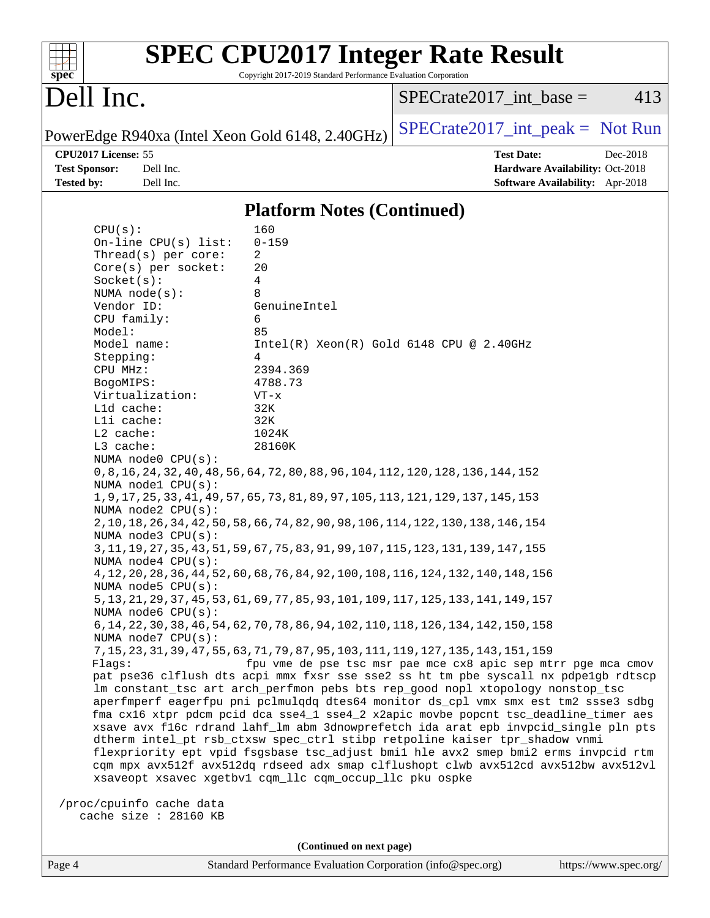| spec <sup>®</sup>     |                          | <b>SPEC CPU2017 Integer Rate Result</b><br>Copyright 2017-2019 Standard Performance Evaluation Corporation |                                                                                                                                                                            |  |
|-----------------------|--------------------------|------------------------------------------------------------------------------------------------------------|----------------------------------------------------------------------------------------------------------------------------------------------------------------------------|--|
| Dell Inc.             |                          |                                                                                                            | $SPECrate2017\_int\_base =$<br>413                                                                                                                                         |  |
|                       |                          | PowerEdge R940xa (Intel Xeon Gold 6148, 2.40GHz)                                                           | $SPECTate2017\_int\_peak = Not Run$                                                                                                                                        |  |
| CPU2017 License: 55   |                          |                                                                                                            | <b>Test Date:</b><br>Dec-2018                                                                                                                                              |  |
| <b>Test Sponsor:</b>  | Dell Inc.                |                                                                                                            | Hardware Availability: Oct-2018                                                                                                                                            |  |
| <b>Tested by:</b>     | Dell Inc.                |                                                                                                            | Software Availability: Apr-2018                                                                                                                                            |  |
|                       |                          | <b>Platform Notes (Continued)</b>                                                                          |                                                                                                                                                                            |  |
| CPU(s):               |                          | 160                                                                                                        |                                                                                                                                                                            |  |
|                       | On-line $CPU(s)$ list:   | $0 - 159$                                                                                                  |                                                                                                                                                                            |  |
|                       | Thread(s) per core:      | 2                                                                                                          |                                                                                                                                                                            |  |
|                       | $Core(s)$ per socket:    | 20                                                                                                         |                                                                                                                                                                            |  |
| Socket(s):            | NUMA $node(s):$          | 4<br>8                                                                                                     |                                                                                                                                                                            |  |
| Vendor ID:            |                          | GenuineIntel                                                                                               |                                                                                                                                                                            |  |
| CPU family:           |                          | 6                                                                                                          |                                                                                                                                                                            |  |
| Model:                |                          | 85                                                                                                         |                                                                                                                                                                            |  |
| Model name:           |                          | $Intel(R)$ Xeon $(R)$ Gold 6148 CPU @ 2.40GHz                                                              |                                                                                                                                                                            |  |
| Stepping:             |                          | 4<br>2394.369                                                                                              |                                                                                                                                                                            |  |
| CPU MHz:<br>BogoMIPS: |                          | 4788.73                                                                                                    |                                                                                                                                                                            |  |
|                       | Virtualization:          | $VT - x$                                                                                                   |                                                                                                                                                                            |  |
| L1d cache:            |                          | 32K                                                                                                        |                                                                                                                                                                            |  |
| Lli cache:            |                          | 32K                                                                                                        |                                                                                                                                                                            |  |
| L2 cache:             |                          | 1024K                                                                                                      |                                                                                                                                                                            |  |
| L3 cache:             | NUMA node0 CPU(s):       | 28160K                                                                                                     |                                                                                                                                                                            |  |
|                       |                          | 0, 8, 16, 24, 32, 40, 48, 56, 64, 72, 80, 88, 96, 104, 112, 120, 128, 136, 144, 152                        |                                                                                                                                                                            |  |
|                       | NUMA nodel CPU(s):       |                                                                                                            |                                                                                                                                                                            |  |
|                       |                          | 1, 9, 17, 25, 33, 41, 49, 57, 65, 73, 81, 89, 97, 105, 113, 121, 129, 137, 145, 153                        |                                                                                                                                                                            |  |
|                       | NUMA node2 CPU(s):       | 2, 10, 18, 26, 34, 42, 50, 58, 66, 74, 82, 90, 98, 106, 114, 122, 130, 138, 146, 154                       |                                                                                                                                                                            |  |
|                       | NUMA $node3$ $CPU(s)$ :  |                                                                                                            |                                                                                                                                                                            |  |
|                       |                          | 3, 11, 19, 27, 35, 43, 51, 59, 67, 75, 83, 91, 99, 107, 115, 123, 131, 139, 147, 155                       |                                                                                                                                                                            |  |
|                       | NUMA node4 CPU(s):       |                                                                                                            |                                                                                                                                                                            |  |
|                       | NUMA $node5$ $CPU(s)$ :  | 4, 12, 20, 28, 36, 44, 52, 60, 68, 76, 84, 92, 100, 108, 116, 124, 132, 140, 148, 156                      |                                                                                                                                                                            |  |
|                       |                          | 5, 13, 21, 29, 37, 45, 53, 61, 69, 77, 85, 93, 101, 109, 117, 125, 133, 141, 149, 157                      |                                                                                                                                                                            |  |
|                       | NUMA node6 CPU(s):       |                                                                                                            |                                                                                                                                                                            |  |
|                       |                          | 6, 14, 22, 30, 38, 46, 54, 62, 70, 78, 86, 94, 102, 110, 118, 126, 134, 142, 150, 158                      |                                                                                                                                                                            |  |
|                       | NUMA node7 CPU(s):       | 7, 15, 23, 31, 39, 47, 55, 63, 71, 79, 87, 95, 103, 111, 119, 127, 135, 143, 151, 159                      |                                                                                                                                                                            |  |
| Flagg:                |                          |                                                                                                            | fpu vme de pse tsc msr pae mce cx8 apic sep mtrr pge mca cmov                                                                                                              |  |
|                       |                          |                                                                                                            | pat pse36 clflush dts acpi mmx fxsr sse sse2 ss ht tm pbe syscall nx pdpelgb rdtscp                                                                                        |  |
|                       |                          | lm constant_tsc art arch_perfmon pebs bts rep_good nopl xtopology nonstop_tsc                              |                                                                                                                                                                            |  |
|                       |                          |                                                                                                            | aperfmperf eagerfpu pni pclmulqdq dtes64 monitor ds_cpl vmx smx est tm2 ssse3 sdbg<br>fma cx16 xtpr pdcm pcid dca sse4_1 sse4_2 x2apic movbe popcnt tsc_deadline_timer aes |  |
|                       |                          |                                                                                                            | xsave avx f16c rdrand lahf_lm abm 3dnowprefetch ida arat epb invpcid_single pln pts                                                                                        |  |
|                       |                          | dtherm intel_pt rsb_ctxsw spec_ctrl stibp retpoline kaiser tpr_shadow vnmi                                 |                                                                                                                                                                            |  |
|                       |                          |                                                                                                            | flexpriority ept vpid fsgsbase tsc_adjust bmil hle avx2 smep bmi2 erms invpcid rtm                                                                                         |  |
|                       |                          | xsaveopt xsavec xgetbvl cqm_llc cqm_occup_llc pku ospke                                                    | cqm mpx avx512f avx512dq rdseed adx smap clflushopt clwb avx512cd avx512bw avx512vl                                                                                        |  |
|                       |                          |                                                                                                            |                                                                                                                                                                            |  |
|                       | /proc/cpuinfo cache data |                                                                                                            |                                                                                                                                                                            |  |
|                       | cache size : 28160 KB    |                                                                                                            |                                                                                                                                                                            |  |
|                       |                          |                                                                                                            |                                                                                                                                                                            |  |
|                       |                          | (Continued on next page)                                                                                   |                                                                                                                                                                            |  |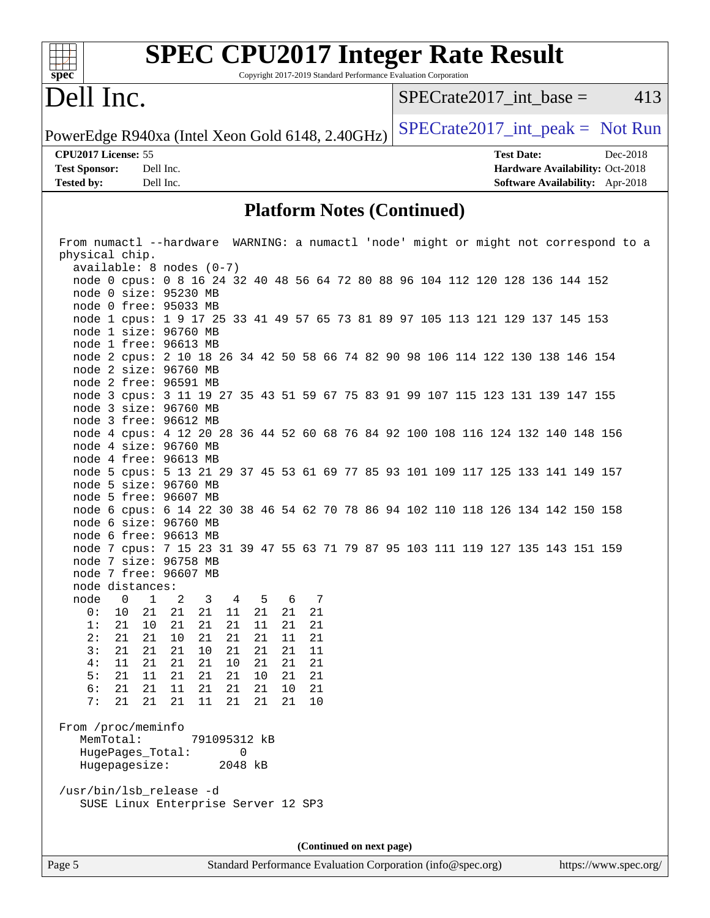

# **[SPEC CPU2017 Integer Rate Result](http://www.spec.org/auto/cpu2017/Docs/result-fields.html#SPECCPU2017IntegerRateResult)**

Copyright 2017-2019 Standard Performance Evaluation Corporation

## Dell Inc.

 $SPECTate2017\_int\_base = 413$ 

**[Tested by:](http://www.spec.org/auto/cpu2017/Docs/result-fields.html#Testedby)** Dell Inc. **[Software Availability:](http://www.spec.org/auto/cpu2017/Docs/result-fields.html#SoftwareAvailability)** Apr-2018

PowerEdge R940xa (Intel Xeon Gold 6148, 2.40GHz)  $SPECTate2017\_int\_peak = Not Run$ 

**[CPU2017 License:](http://www.spec.org/auto/cpu2017/Docs/result-fields.html#CPU2017License)** 55 **[Test Date:](http://www.spec.org/auto/cpu2017/Docs/result-fields.html#TestDate)** Dec-2018 **[Test Sponsor:](http://www.spec.org/auto/cpu2017/Docs/result-fields.html#TestSponsor)** Dell Inc. **[Hardware Availability:](http://www.spec.org/auto/cpu2017/Docs/result-fields.html#HardwareAvailability)** Oct-2018

#### **[Platform Notes \(Continued\)](http://www.spec.org/auto/cpu2017/Docs/result-fields.html#PlatformNotes)**

| From numactl --hardware WARNING: a numactl 'node' might or might not correspond to a |                 |    |    |                          |  |  |  |
|--------------------------------------------------------------------------------------|-----------------|----|----|--------------------------|--|--|--|
| physical chip.                                                                       |                 |    |    |                          |  |  |  |
| $available: 8 nodes (0-7)$                                                           |                 |    |    |                          |  |  |  |
| node 0 cpus: 0 8 16 24 32 40 48 56 64 72 80 88 96 104 112 120 128 136 144 152        |                 |    |    |                          |  |  |  |
| node 0 size: 95230 MB                                                                |                 |    |    |                          |  |  |  |
| node 0 free: 95033 MB                                                                |                 |    |    |                          |  |  |  |
| node 1 cpus: 1 9 17 25 33 41 49 57 65 73 81 89 97 105 113 121 129 137 145 153        |                 |    |    |                          |  |  |  |
| node 1 size: 96760 MB                                                                |                 |    |    |                          |  |  |  |
| node 1 free: 96613 MB                                                                |                 |    |    |                          |  |  |  |
| node 2 cpus: 2 10 18 26 34 42 50 58 66 74 82 90 98 106 114 122 130 138 146 154       |                 |    |    |                          |  |  |  |
| node 2 size: 96760 MB                                                                |                 |    |    |                          |  |  |  |
| node 2 free: 96591 MB                                                                |                 |    |    |                          |  |  |  |
| node 3 cpus: 3 11 19 27 35 43 51 59 67 75 83 91 99 107 115 123 131 139 147 155       |                 |    |    |                          |  |  |  |
| node 3 size: 96760 MB                                                                |                 |    |    |                          |  |  |  |
| node 3 free: 96612 MB                                                                |                 |    |    |                          |  |  |  |
| node 4 cpus: 4 12 20 28 36 44 52 60 68 76 84 92 100 108 116 124 132 140 148 156      |                 |    |    |                          |  |  |  |
| node 4 size: 96760 MB                                                                |                 |    |    |                          |  |  |  |
| node 4 free: 96613 MB                                                                |                 |    |    |                          |  |  |  |
| node 5 cpus: 5 13 21 29 37 45 53 61 69 77 85 93 101 109 117 125 133 141 149 157      |                 |    |    |                          |  |  |  |
| node 5 size: 96760 MB                                                                |                 |    |    |                          |  |  |  |
| node 5 free: 96607 MB                                                                |                 |    |    |                          |  |  |  |
| node 6 cpus: 6 14 22 30 38 46 54 62 70 78 86 94 102 110 118 126 134 142 150 158      |                 |    |    |                          |  |  |  |
| node 6 size: 96760 MB                                                                |                 |    |    |                          |  |  |  |
| node 6 free: 96613 MB                                                                |                 |    |    |                          |  |  |  |
| node 7 cpus: 7 15 23 31 39 47 55 63 71 79 87 95 103 111 119 127 135 143 151 159      |                 |    |    |                          |  |  |  |
| node 7 size: 96758 MB                                                                |                 |    |    |                          |  |  |  |
| node 7 free: 96607 MB                                                                |                 |    |    |                          |  |  |  |
| node distances:                                                                      |                 |    |    |                          |  |  |  |
| node<br>$\overline{0}$<br>$\mathbf{1}$<br>$\overline{\phantom{a}}^2$                 | 5 6<br>$3 \t 4$ |    | 7  |                          |  |  |  |
| 0:<br>10<br>21<br>21<br>21                                                           | 11<br>21        | 21 | 21 |                          |  |  |  |
| 1:<br>21<br>10<br>21<br>21                                                           | 21<br>11        | 21 | 21 |                          |  |  |  |
| 2:<br>21<br>21<br>10<br>21                                                           | 21<br>21        | 11 | 21 |                          |  |  |  |
| 3:<br>21<br>21<br>21<br>10                                                           | 21<br>21        | 21 | 11 |                          |  |  |  |
| 4:<br>11<br>21<br>21<br>21                                                           | 10<br>21        | 21 | 21 |                          |  |  |  |
| 5:<br>21<br>21<br>11<br>- 21                                                         | 21<br>10        | 21 | 21 |                          |  |  |  |
| 6:<br>21<br>21<br>11<br>21                                                           | 21<br>21        | 10 | 21 |                          |  |  |  |
| 7:<br>21<br>21<br>11<br>-21                                                          | 21<br>21        | 21 | 10 |                          |  |  |  |
|                                                                                      |                 |    |    |                          |  |  |  |
| From /proc/meminfo                                                                   |                 |    |    |                          |  |  |  |
| MemTotal:                                                                            | 791095312 kB    |    |    |                          |  |  |  |
| HugePages Total:                                                                     | $\cup$          |    |    |                          |  |  |  |
| Hugepagesize:                                                                        | 2048 kB         |    |    |                          |  |  |  |
|                                                                                      |                 |    |    |                          |  |  |  |
| /usr/bin/lsb_release -d                                                              |                 |    |    |                          |  |  |  |
| SUSE Linux Enterprise Server 12 SP3                                                  |                 |    |    |                          |  |  |  |
|                                                                                      |                 |    |    |                          |  |  |  |
|                                                                                      |                 |    |    |                          |  |  |  |
|                                                                                      |                 |    |    | (Continued on next page) |  |  |  |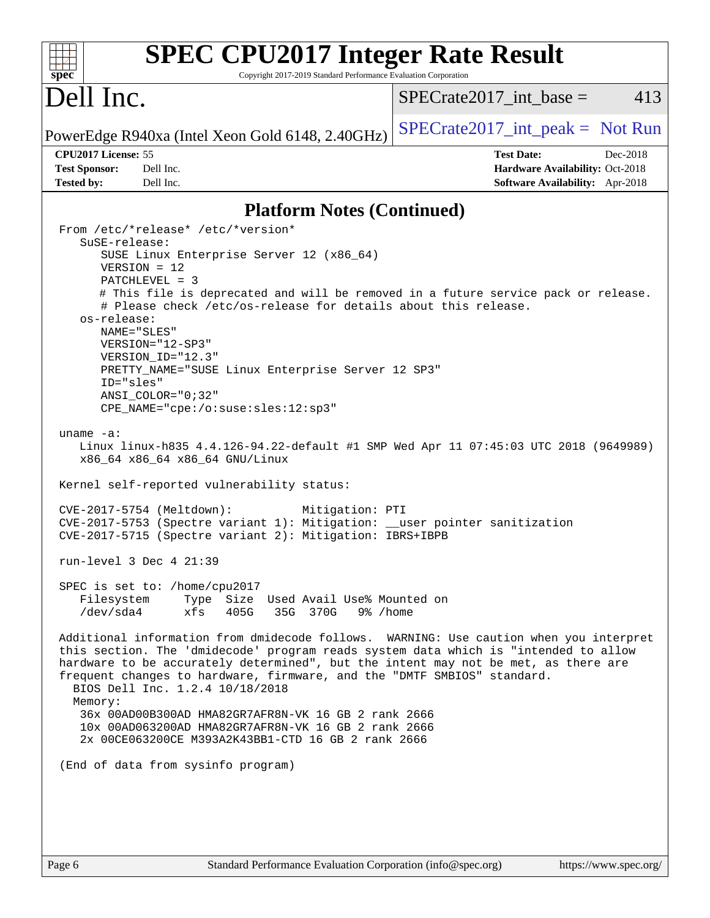|                                                                                                                                                                     | <b>SPEC CPU2017 Integer Rate Result</b>                                                                                                                                                                                                                             |
|---------------------------------------------------------------------------------------------------------------------------------------------------------------------|---------------------------------------------------------------------------------------------------------------------------------------------------------------------------------------------------------------------------------------------------------------------|
| spec<br>Dell Inc.                                                                                                                                                   | Copyright 2017-2019 Standard Performance Evaluation Corporation<br>413<br>$SPECrate2017\_int\_base =$                                                                                                                                                               |
| PowerEdge R940xa (Intel Xeon Gold 6148, 2.40GHz)                                                                                                                    | $SPECrate2017\_int\_peak = Not Run$                                                                                                                                                                                                                                 |
| CPU2017 License: 55                                                                                                                                                 | <b>Test Date:</b><br>Dec-2018                                                                                                                                                                                                                                       |
| <b>Test Sponsor:</b><br>Dell Inc.                                                                                                                                   | Hardware Availability: Oct-2018                                                                                                                                                                                                                                     |
| <b>Tested by:</b><br>Dell Inc.                                                                                                                                      | Software Availability: Apr-2018                                                                                                                                                                                                                                     |
|                                                                                                                                                                     | <b>Platform Notes (Continued)</b>                                                                                                                                                                                                                                   |
| From /etc/*release* /etc/*version*<br>SuSE-release:                                                                                                                 |                                                                                                                                                                                                                                                                     |
| SUSE Linux Enterprise Server 12 (x86_64)<br>$VERSION = 12$<br>PATCHLEVEL = 3                                                                                        |                                                                                                                                                                                                                                                                     |
| # Please check /etc/os-release for details about this release.                                                                                                      | # This file is deprecated and will be removed in a future service pack or release.                                                                                                                                                                                  |
| os-release:<br>NAME="SLES"<br>VERSION="12-SP3"                                                                                                                      |                                                                                                                                                                                                                                                                     |
| VERSION_ID="12.3"<br>PRETTY_NAME="SUSE Linux Enterprise Server 12 SP3"                                                                                              |                                                                                                                                                                                                                                                                     |
| ID="sles"<br>ANSI COLOR="0;32"<br>CPE_NAME="cpe:/o:suse:sles:12:sp3"                                                                                                |                                                                                                                                                                                                                                                                     |
| uname $-a$ :<br>x86_64 x86_64 x86_64 GNU/Linux                                                                                                                      | Linux linux-h835 4.4.126-94.22-default #1 SMP Wed Apr 11 07:45:03 UTC 2018 (9649989)                                                                                                                                                                                |
| Kernel self-reported vulnerability status:                                                                                                                          |                                                                                                                                                                                                                                                                     |
| CVE-2017-5754 (Meltdown):<br>CVE-2017-5753 (Spectre variant 1): Mitigation: __user pointer sanitization<br>CVE-2017-5715 (Spectre variant 2): Mitigation: IBRS+IBPB | Mitigation: PTI                                                                                                                                                                                                                                                     |
| run-level $3$ Dec $4$ $21:39$                                                                                                                                       |                                                                                                                                                                                                                                                                     |
| SPEC is set to: /home/cpu2017<br>Filesystem<br>Type Size Used Avail Use% Mounted on<br>/dev/sda4<br>xfs<br>405G<br>35G 370G                                         | 9% /home                                                                                                                                                                                                                                                            |
| frequent changes to hardware, firmware, and the "DMTF SMBIOS" standard.<br>BIOS Dell Inc. 1.2.4 10/18/2018<br>Memory:                                               | Additional information from dmidecode follows. WARNING: Use caution when you interpret<br>this section. The 'dmidecode' program reads system data which is "intended to allow<br>hardware to be accurately determined", but the intent may not be met, as there are |
| 36x 00AD00B300AD HMA82GR7AFR8N-VK 16 GB 2 rank 2666<br>10x 00AD063200AD HMA82GR7AFR8N-VK 16 GB 2 rank 2666<br>2x 00CE063200CE M393A2K43BB1-CTD 16 GB 2 rank 2666    |                                                                                                                                                                                                                                                                     |
| (End of data from sysinfo program)                                                                                                                                  |                                                                                                                                                                                                                                                                     |
|                                                                                                                                                                     |                                                                                                                                                                                                                                                                     |
|                                                                                                                                                                     |                                                                                                                                                                                                                                                                     |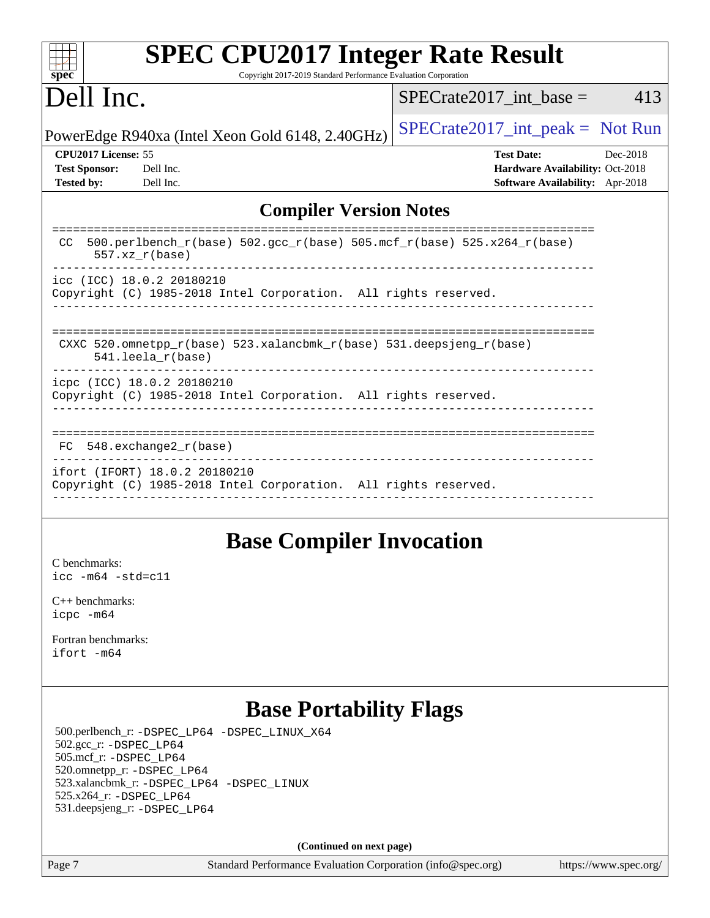| <b>SPEC CPU2017 Integer Rate Result</b><br>$sp\overline{ec}$<br>Copyright 2017-2019 Standard Performance Evaluation Corporation |                                        |  |  |  |  |  |  |
|---------------------------------------------------------------------------------------------------------------------------------|----------------------------------------|--|--|--|--|--|--|
| Dell Inc.                                                                                                                       | $SPECrate2017\_int\_base =$<br>413     |  |  |  |  |  |  |
| PowerEdge R940xa (Intel Xeon Gold 6148, 2.40GHz)                                                                                | $SPECrate2017\_int\_peak = Not Run$    |  |  |  |  |  |  |
| CPU <sub>2017</sub> License: 55                                                                                                 | <b>Test Date:</b><br>Dec-2018          |  |  |  |  |  |  |
| <b>Test Sponsor:</b><br>Dell Inc.                                                                                               | Hardware Availability: Oct-2018        |  |  |  |  |  |  |
| <b>Tested by:</b><br>Dell Inc.                                                                                                  | <b>Software Availability:</b> Apr-2018 |  |  |  |  |  |  |
| <b>Compiler Version Notes</b>                                                                                                   |                                        |  |  |  |  |  |  |
| 500.perlbench_r(base) 502.gcc_r(base) 505.mcf_r(base) 525.x264_r(base)<br>CC<br>$557. xz_r(base)$                               |                                        |  |  |  |  |  |  |
| icc (ICC) 18.0.2 20180210<br>Copyright (C) 1985-2018 Intel Corporation. All rights reserved.                                    |                                        |  |  |  |  |  |  |
| CXXC 520.omnetpp_r(base) 523.xalancbmk_r(base) 531.deepsjeng_r(base)<br>$541.$ leela $r(base)$                                  |                                        |  |  |  |  |  |  |
| icpc (ICC) 18.0.2 20180210<br>Copyright (C) 1985-2018 Intel Corporation. All rights reserved.                                   |                                        |  |  |  |  |  |  |
| $548$ . exchange $2r$ (base)<br>FC                                                                                              |                                        |  |  |  |  |  |  |
| ifort (IFORT) 18.0.2 20180210<br>Copyright (C) 1985-2018 Intel Corporation. All rights reserved.                                |                                        |  |  |  |  |  |  |

## **[Base Compiler Invocation](http://www.spec.org/auto/cpu2017/Docs/result-fields.html#BaseCompilerInvocation)**

[C benchmarks](http://www.spec.org/auto/cpu2017/Docs/result-fields.html#Cbenchmarks): [icc -m64 -std=c11](http://www.spec.org/cpu2017/results/res2018q4/cpu2017-20181210-10183.flags.html#user_CCbase_intel_icc_64bit_c11_33ee0cdaae7deeeab2a9725423ba97205ce30f63b9926c2519791662299b76a0318f32ddfffdc46587804de3178b4f9328c46fa7c2b0cd779d7a61945c91cd35)

[C++ benchmarks:](http://www.spec.org/auto/cpu2017/Docs/result-fields.html#CXXbenchmarks) [icpc -m64](http://www.spec.org/cpu2017/results/res2018q4/cpu2017-20181210-10183.flags.html#user_CXXbase_intel_icpc_64bit_4ecb2543ae3f1412ef961e0650ca070fec7b7afdcd6ed48761b84423119d1bf6bdf5cad15b44d48e7256388bc77273b966e5eb805aefd121eb22e9299b2ec9d9)

[Fortran benchmarks](http://www.spec.org/auto/cpu2017/Docs/result-fields.html#Fortranbenchmarks): [ifort -m64](http://www.spec.org/cpu2017/results/res2018q4/cpu2017-20181210-10183.flags.html#user_FCbase_intel_ifort_64bit_24f2bb282fbaeffd6157abe4f878425411749daecae9a33200eee2bee2fe76f3b89351d69a8130dd5949958ce389cf37ff59a95e7a40d588e8d3a57e0c3fd751)

## **[Base Portability Flags](http://www.spec.org/auto/cpu2017/Docs/result-fields.html#BasePortabilityFlags)**

 500.perlbench\_r: [-DSPEC\\_LP64](http://www.spec.org/cpu2017/results/res2018q4/cpu2017-20181210-10183.flags.html#b500.perlbench_r_basePORTABILITY_DSPEC_LP64) [-DSPEC\\_LINUX\\_X64](http://www.spec.org/cpu2017/results/res2018q4/cpu2017-20181210-10183.flags.html#b500.perlbench_r_baseCPORTABILITY_DSPEC_LINUX_X64) 502.gcc\_r: [-DSPEC\\_LP64](http://www.spec.org/cpu2017/results/res2018q4/cpu2017-20181210-10183.flags.html#suite_basePORTABILITY502_gcc_r_DSPEC_LP64) 505.mcf\_r: [-DSPEC\\_LP64](http://www.spec.org/cpu2017/results/res2018q4/cpu2017-20181210-10183.flags.html#suite_basePORTABILITY505_mcf_r_DSPEC_LP64) 520.omnetpp\_r: [-DSPEC\\_LP64](http://www.spec.org/cpu2017/results/res2018q4/cpu2017-20181210-10183.flags.html#suite_basePORTABILITY520_omnetpp_r_DSPEC_LP64) 523.xalancbmk\_r: [-DSPEC\\_LP64](http://www.spec.org/cpu2017/results/res2018q4/cpu2017-20181210-10183.flags.html#suite_basePORTABILITY523_xalancbmk_r_DSPEC_LP64) [-DSPEC\\_LINUX](http://www.spec.org/cpu2017/results/res2018q4/cpu2017-20181210-10183.flags.html#b523.xalancbmk_r_baseCXXPORTABILITY_DSPEC_LINUX) 525.x264\_r: [-DSPEC\\_LP64](http://www.spec.org/cpu2017/results/res2018q4/cpu2017-20181210-10183.flags.html#suite_basePORTABILITY525_x264_r_DSPEC_LP64) 531.deepsjeng\_r: [-DSPEC\\_LP64](http://www.spec.org/cpu2017/results/res2018q4/cpu2017-20181210-10183.flags.html#suite_basePORTABILITY531_deepsjeng_r_DSPEC_LP64)

**(Continued on next page)**

Page 7 Standard Performance Evaluation Corporation [\(info@spec.org\)](mailto:info@spec.org) <https://www.spec.org/>